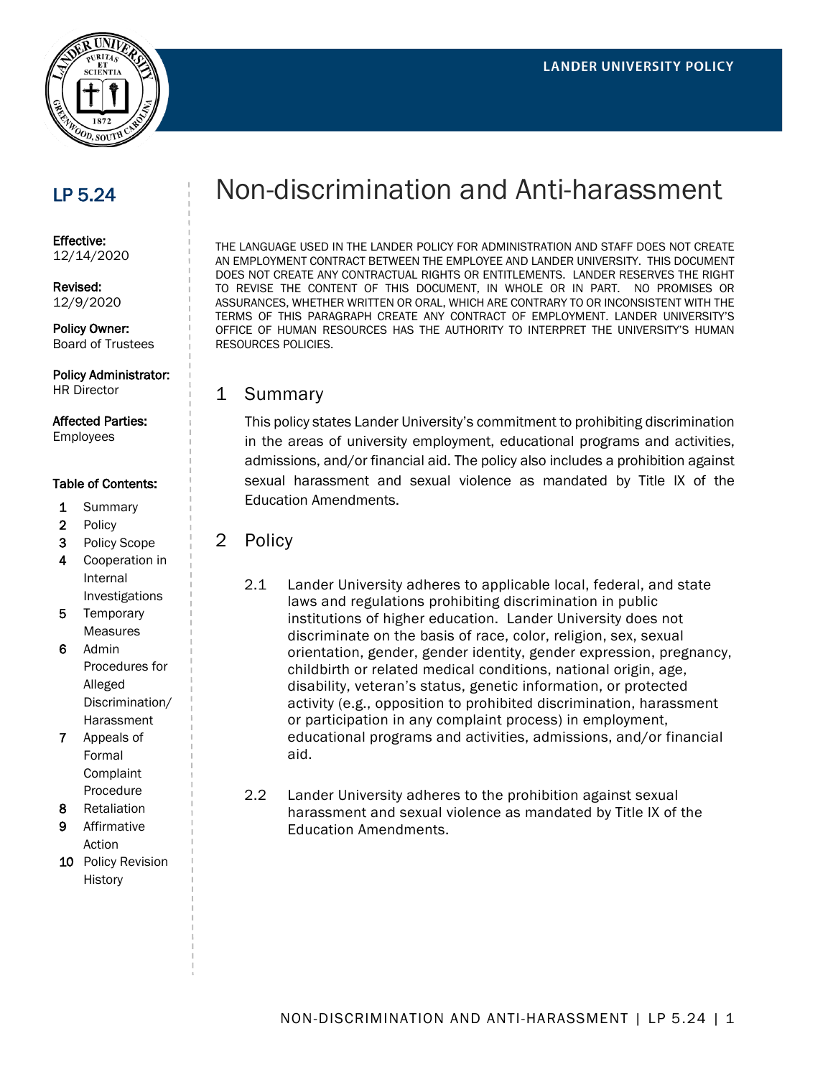

# LP 5.24

Effective: 12/14/2020

Revised: 12/9/2020

Policy Owner: Board of Trustees

Policy Administrator:

HR Director

# Affected Parties:

Employees

#### Table of Contents:

- 1 Summary
- 2 Policy
- 3 Policy Scope
- 4 Cooperation in Internal Investigations
- 5 Temporary Measures
- 6 Admin Procedures for Alleged Discrimination/ **Harassment**
- 7 Appeals of Formal Complaint Procedure
- 8 Retaliation
- 9 Affirmative Action
- 10 Policy Revision History

# Non-discrimination and Anti-harassment

THE LANGUAGE USED IN THE LANDER POLICY FOR ADMINISTRATION AND STAFF DOES NOT CREATE AN EMPLOYMENT CONTRACT BETWEEN THE EMPLOYEE AND LANDER UNIVERSITY. THIS DOCUMENT DOES NOT CREATE ANY CONTRACTUAL RIGHTS OR ENTITLEMENTS. LANDER RESERVES THE RIGHT TO REVISE THE CONTENT OF THIS DOCUMENT, IN WHOLE OR IN PART. NO PROMISES OR ASSURANCES, WHETHER WRITTEN OR ORAL, WHICH ARE CONTRARY TO OR INCONSISTENT WITH THE TERMS OF THIS PARAGRAPH CREATE ANY CONTRACT OF EMPLOYMENT. LANDER UNIVERSITY'S OFFICE OF HUMAN RESOURCES HAS THE AUTHORITY TO INTERPRET THE UNIVERSITY'S HUMAN RESOURCES POLICIES.

#### 1 Summary

This policy states Lander University's commitment to prohibiting discrimination in the areas of university employment, educational programs and activities, admissions, and/or financial aid. The policy also includes a prohibition against sexual harassment and sexual violence as mandated by Title IX of the Education Amendments.

- 2 Policy
	- 2.1 Lander University adheres to applicable local, federal, and state laws and regulations prohibiting discrimination in public institutions of higher education. Lander University does not discriminate on the basis of race, color, religion, sex, sexual orientation, gender, gender identity, gender expression, pregnancy, childbirth or related medical conditions, national origin, age, disability, veteran's status, genetic information, or protected activity (e.g., opposition to prohibited discrimination, harassment or participation in any complaint process) in employment, educational programs and activities, admissions, and/or financial aid.
	- 2.2 Lander University adheres to the prohibition against sexual harassment and sexual violence as mandated by Title IX of the Education Amendments.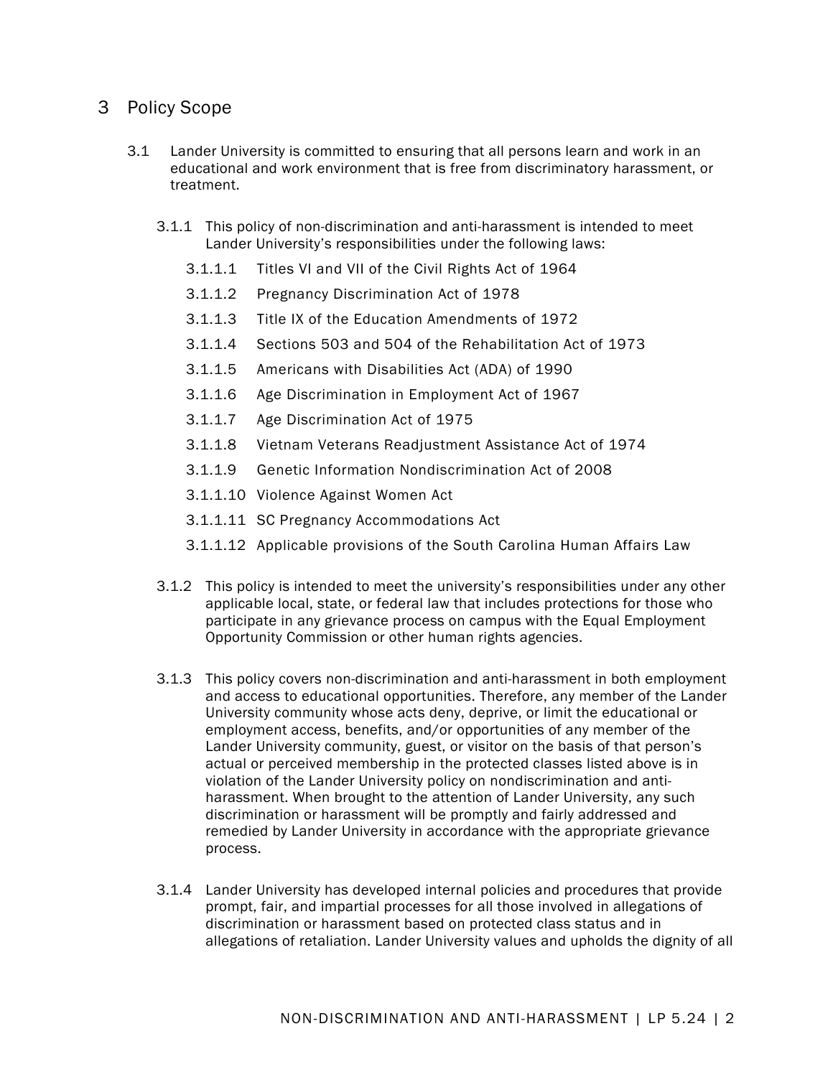## 3 Policy Scope

- 3.1 Lander University is committed to ensuring that all persons learn and work in an educational and work environment that is free from discriminatory harassment, or treatment.
	- 3.1.1 This policy of non-discrimination and anti-harassment is intended to meet Lander University's responsibilities under the following laws:
		- 3.1.1.1 Titles VI and VII of the Civil Rights Act of 1964
		- 3.1.1.2 Pregnancy Discrimination Act of 1978
		- 3.1.1.3 Title IX of the Education Amendments of 1972
		- 3.1.1.4 Sections 503 and 504 of the Rehabilitation Act of 1973
		- 3.1.1.5 Americans with Disabilities Act (ADA) of 1990
		- 3.1.1.6 Age Discrimination in Employment Act of 1967
		- 3.1.1.7 Age Discrimination Act of 1975
		- 3.1.1.8 Vietnam Veterans Readjustment Assistance Act of 1974
		- 3.1.1.9 Genetic Information Nondiscrimination Act of 2008
		- 3.1.1.10 Violence Against Women Act
		- 3.1.1.11 SC Pregnancy Accommodations Act
		- 3.1.1.12 Applicable provisions of the South Carolina Human Affairs Law
	- 3.1.2 This policy is intended to meet the university's responsibilities under any other applicable local, state, or federal law that includes protections for those who participate in any grievance process on campus with the Equal Employment Opportunity Commission or other human rights agencies.
	- 3.1.3 This policy covers non-discrimination and anti-harassment in both employment and access to educational opportunities. Therefore, any member of the Lander University community whose acts deny, deprive, or limit the educational or employment access, benefits, and/or opportunities of any member of the Lander University community, guest, or visitor on the basis of that person's actual or perceived membership in the protected classes listed above is in violation of the Lander University policy on nondiscrimination and antiharassment. When brought to the attention of Lander University, any such discrimination or harassment will be promptly and fairly addressed and remedied by Lander University in accordance with the appropriate grievance process.
	- 3.1.4 Lander University has developed internal policies and procedures that provide prompt, fair, and impartial processes for all those involved in allegations of discrimination or harassment based on protected class status and in allegations of retaliation. Lander University values and upholds the dignity of all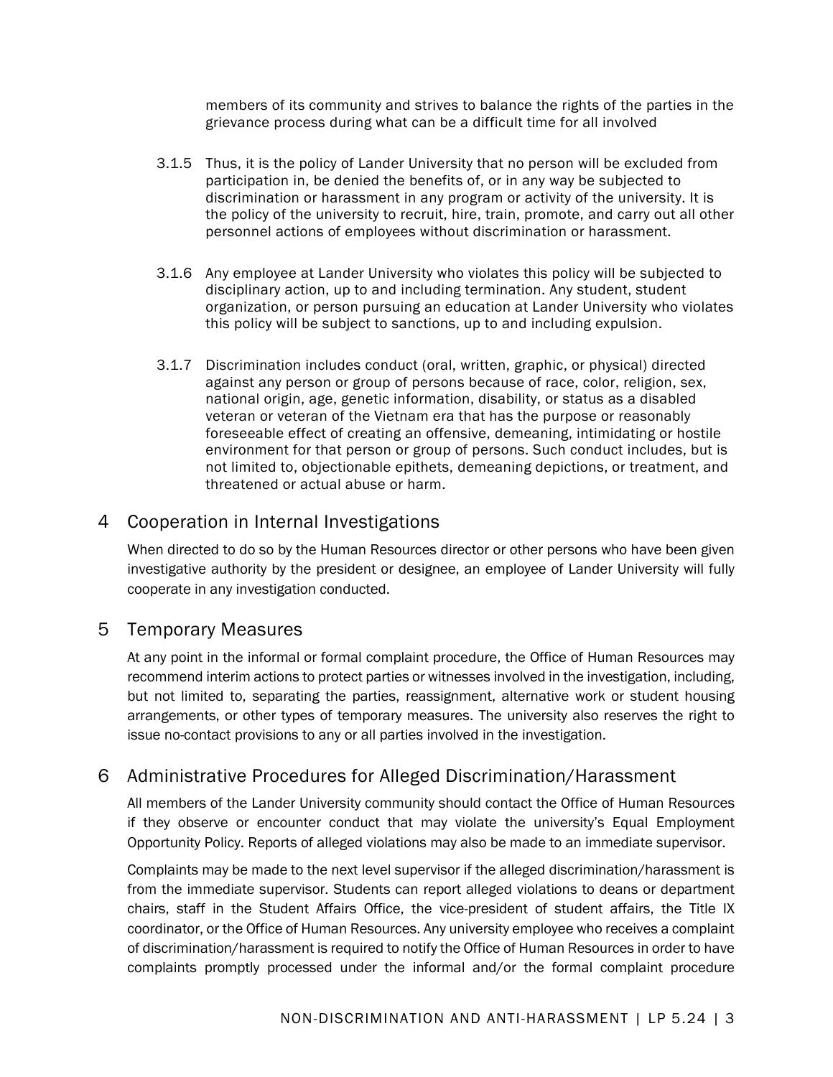members of its community and strives to balance the rights of the parties in the grievance process during what can be a difficult time for all involved

- 3.1.5 Thus, it is the policy of Lander University that no person will be excluded from participation in, be denied the benefits of, or in any way be subjected to discrimination or harassment in any program or activity of the university. It is the policy of the university to recruit, hire, train, promote, and carry out all other personnel actions of employees without discrimination or harassment.
- 3.1.6 Any employee at Lander University who violates this policy will be subjected to disciplinary action, up to and including termination. Any student, student organization, or person pursuing an education at Lander University who violates this policy will be subject to sanctions, up to and including expulsion.
- 3.1.7 Discrimination includes conduct (oral, written, graphic, or physical) directed against any person or group of persons because of race, color, religion, sex, national origin, age, genetic information, disability, or status as a disabled veteran or veteran of the Vietnam era that has the purpose or reasonably foreseeable effect of creating an offensive, demeaning, intimidating or hostile environment for that person or group of persons. Such conduct includes, but is not limited to, objectionable epithets, demeaning depictions, or treatment, and threatened or actual abuse or harm.

# 4 Cooperation in Internal Investigations

When directed to do so by the Human Resources director or other persons who have been given investigative authority by the president or designee, an employee of Lander University will fully cooperate in any investigation conducted.

### 5 Temporary Measures

At any point in the informal or formal complaint procedure, the Office of Human Resources may recommend interim actions to protect parties or witnesses involved in the investigation, including, but not limited to, separating the parties, reassignment, alternative work or student housing arrangements, or other types of temporary measures. The university also reserves the right to issue no-contact provisions to any or all parties involved in the investigation.

# 6 Administrative Procedures for Alleged Discrimination/Harassment

All members of the Lander University community should contact the Office of Human Resources if they observe or encounter conduct that may violate the university's Equal Employment Opportunity Policy. Reports of alleged violations may also be made to an immediate supervisor.

Complaints may be made to the next level supervisor if the alleged discrimination/harassment is from the immediate supervisor. Students can report alleged violations to deans or department chairs, staff in the Student Affairs Office, the vice-president of student affairs, the Title IX coordinator, or the Office of Human Resources. Any university employee who receives a complaint of discrimination/harassment is required to notify the Office of Human Resources in order to have complaints promptly processed under the informal and/or the formal complaint procedure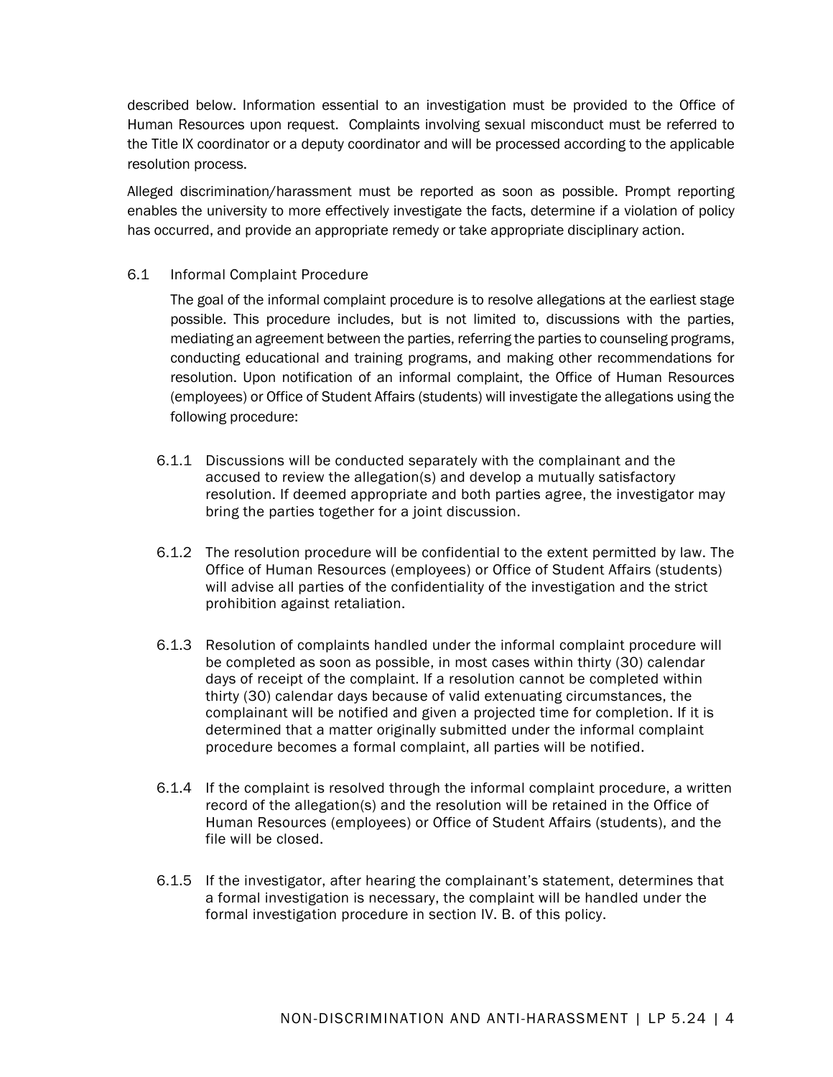described below. Information essential to an investigation must be provided to the Office of Human Resources upon request. Complaints involving sexual misconduct must be referred to the Title IX coordinator or a deputy coordinator and will be processed according to the applicable resolution process.

Alleged discrimination/harassment must be reported as soon as possible. Prompt reporting enables the university to more effectively investigate the facts, determine if a violation of policy has occurred, and provide an appropriate remedy or take appropriate disciplinary action.

#### 6.1 Informal Complaint Procedure

The goal of the informal complaint procedure is to resolve allegations at the earliest stage possible. This procedure includes, but is not limited to, discussions with the parties, mediating an agreement between the parties, referring the parties to counseling programs, conducting educational and training programs, and making other recommendations for resolution. Upon notification of an informal complaint, the Office of Human Resources (employees) or Office of Student Affairs (students) will investigate the allegations using the following procedure:

- 6.1.1 Discussions will be conducted separately with the complainant and the accused to review the allegation(s) and develop a mutually satisfactory resolution. If deemed appropriate and both parties agree, the investigator may bring the parties together for a joint discussion.
- 6.1.2 The resolution procedure will be confidential to the extent permitted by law. The Office of Human Resources (employees) or Office of Student Affairs (students) will advise all parties of the confidentiality of the investigation and the strict prohibition against retaliation.
- 6.1.3 Resolution of complaints handled under the informal complaint procedure will be completed as soon as possible, in most cases within thirty (30) calendar days of receipt of the complaint. If a resolution cannot be completed within thirty (30) calendar days because of valid extenuating circumstances, the complainant will be notified and given a projected time for completion. If it is determined that a matter originally submitted under the informal complaint procedure becomes a formal complaint, all parties will be notified.
- 6.1.4 If the complaint is resolved through the informal complaint procedure, a written record of the allegation(s) and the resolution will be retained in the Office of Human Resources (employees) or Office of Student Affairs (students), and the file will be closed.
- 6.1.5 If the investigator, after hearing the complainant's statement, determines that a formal investigation is necessary, the complaint will be handled under the formal investigation procedure in section IV. B. of this policy.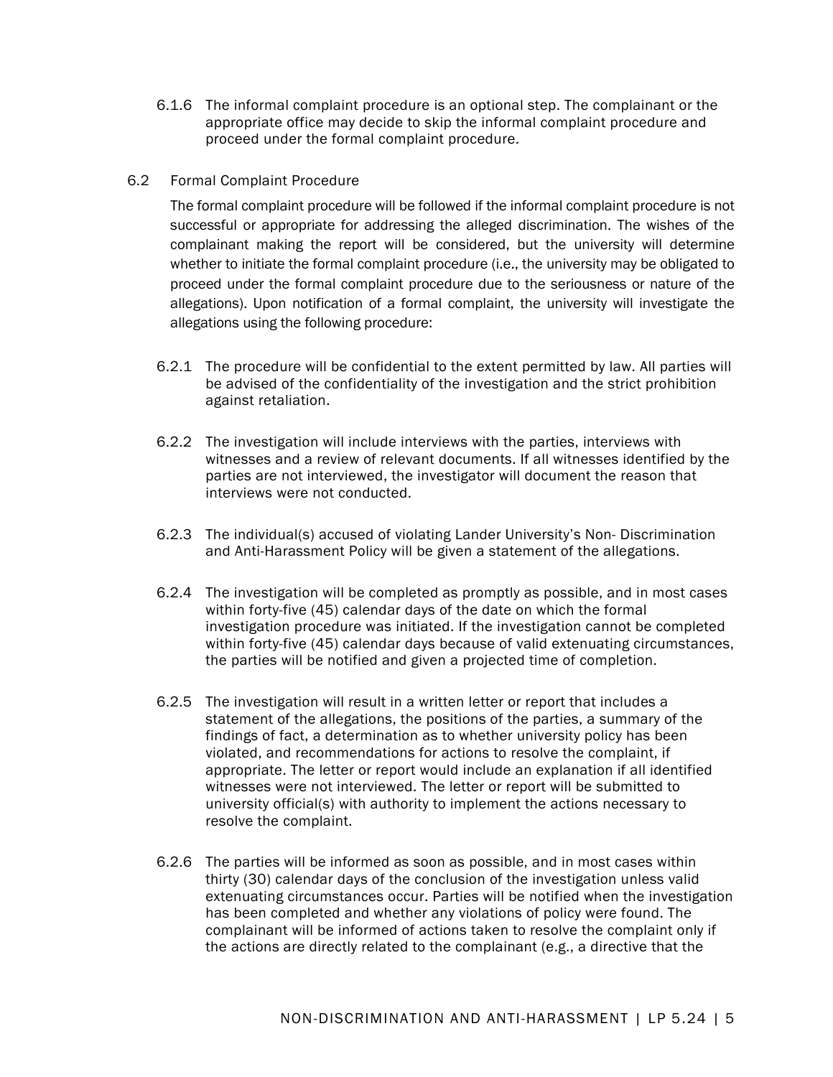- 6.1.6 The informal complaint procedure is an optional step. The complainant or the appropriate office may decide to skip the informal complaint procedure and proceed under the formal complaint procedure.
- 6.2 Formal Complaint Procedure

The formal complaint procedure will be followed if the informal complaint procedure is not successful or appropriate for addressing the alleged discrimination. The wishes of the complainant making the report will be considered, but the university will determine whether to initiate the formal complaint procedure (i.e., the university may be obligated to proceed under the formal complaint procedure due to the seriousness or nature of the allegations). Upon notification of a formal complaint, the university will investigate the allegations using the following procedure:

- 6.2.1 The procedure will be confidential to the extent permitted by law. All parties will be advised of the confidentiality of the investigation and the strict prohibition against retaliation.
- 6.2.2 The investigation will include interviews with the parties, interviews with witnesses and a review of relevant documents. If all witnesses identified by the parties are not interviewed, the investigator will document the reason that interviews were not conducted.
- 6.2.3 The individual(s) accused of violating Lander University's Non- Discrimination and Anti-Harassment Policy will be given a statement of the allegations.
- 6.2.4 The investigation will be completed as promptly as possible, and in most cases within forty-five (45) calendar days of the date on which the formal investigation procedure was initiated. If the investigation cannot be completed within forty-five (45) calendar days because of valid extenuating circumstances, the parties will be notified and given a projected time of completion.
- 6.2.5 The investigation will result in a written letter or report that includes a statement of the allegations, the positions of the parties, a summary of the findings of fact, a determination as to whether university policy has been violated, and recommendations for actions to resolve the complaint, if appropriate. The letter or report would include an explanation if all identified witnesses were not interviewed. The letter or report will be submitted to university official(s) with authority to implement the actions necessary to resolve the complaint.
- 6.2.6 The parties will be informed as soon as possible, and in most cases within thirty (30) calendar days of the conclusion of the investigation unless valid extenuating circumstances occur. Parties will be notified when the investigation has been completed and whether any violations of policy were found. The complainant will be informed of actions taken to resolve the complaint only if the actions are directly related to the complainant (e.g., a directive that the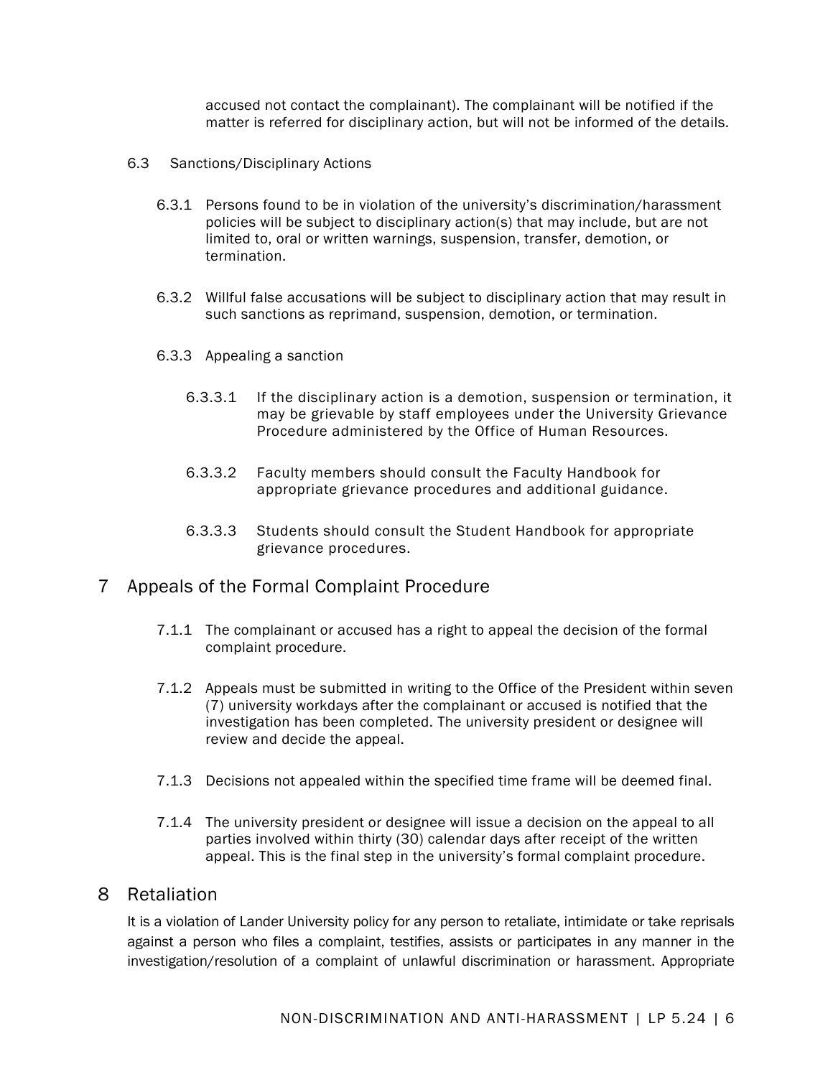accused not contact the complainant). The complainant will be notified if the matter is referred for disciplinary action, but will not be informed of the details.

- 6.3 Sanctions/Disciplinary Actions
	- 6.3.1 Persons found to be in violation of the university's discrimination/harassment policies will be subject to disciplinary action(s) that may include, but are not limited to, oral or written warnings, suspension, transfer, demotion, or termination.
	- 6.3.2 Willful false accusations will be subject to disciplinary action that may result in such sanctions as reprimand, suspension, demotion, or termination.
	- 6.3.3 Appealing a sanction
		- 6.3.3.1 If the disciplinary action is a demotion, suspension or termination, it may be grievable by staff employees under the University Grievance Procedure administered by the Office of Human Resources.
		- 6.3.3.2 Faculty members should consult the Faculty Handbook for appropriate grievance procedures and additional guidance.
		- 6.3.3.3 Students should consult the Student Handbook for appropriate grievance procedures.

#### 7 Appeals of the Formal Complaint Procedure

- 7.1.1 The complainant or accused has a right to appeal the decision of the formal complaint procedure.
- 7.1.2 Appeals must be submitted in writing to the Office of the President within seven (7) university workdays after the complainant or accused is notified that the investigation has been completed. The university president or designee will review and decide the appeal.
- 7.1.3 Decisions not appealed within the specified time frame will be deemed final.
- 7.1.4 The university president or designee will issue a decision on the appeal to all parties involved within thirty (30) calendar days after receipt of the written appeal. This is the final step in the university's formal complaint procedure.

#### 8 Retaliation

It is a violation of Lander University policy for any person to retaliate, intimidate or take reprisals against a person who files a complaint, testifies, assists or participates in any manner in the investigation/resolution of a complaint of unlawful discrimination or harassment. Appropriate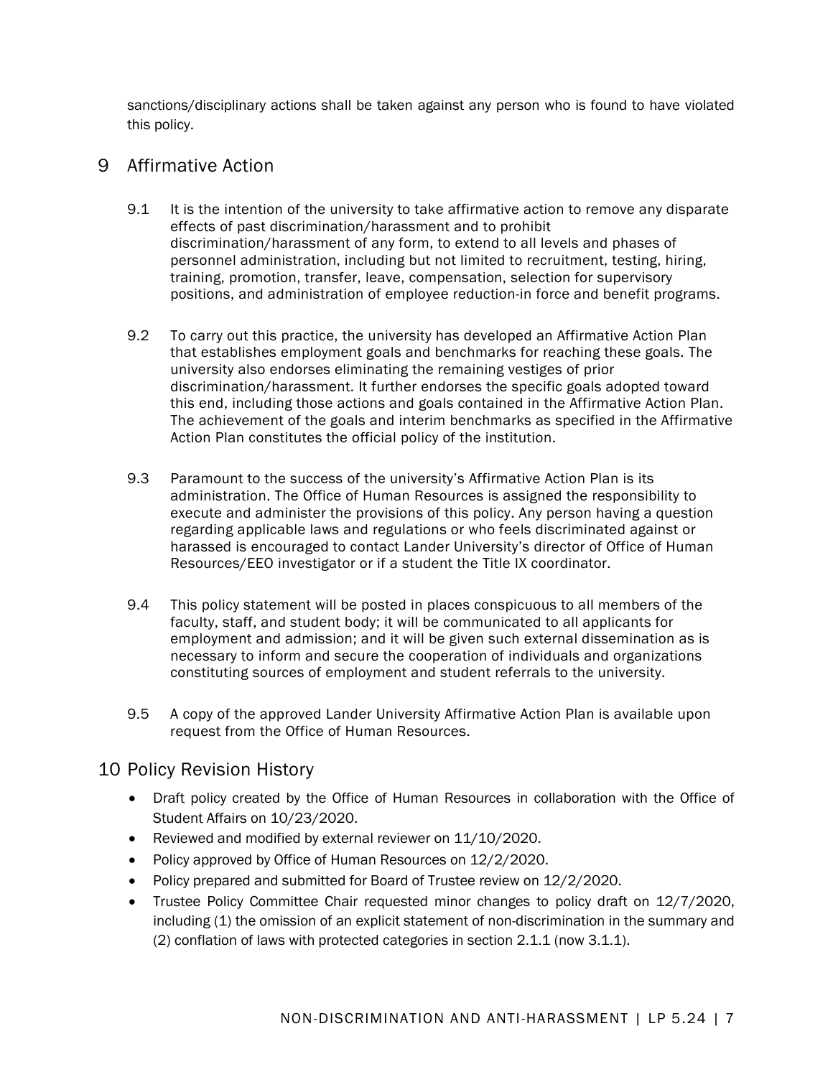sanctions/disciplinary actions shall be taken against any person who is found to have violated this policy.

## 9 Affirmative Action

- 9.1 It is the intention of the university to take affirmative action to remove any disparate effects of past discrimination/harassment and to prohibit discrimination/harassment of any form, to extend to all levels and phases of personnel administration, including but not limited to recruitment, testing, hiring, training, promotion, transfer, leave, compensation, selection for supervisory positions, and administration of employee reduction-in force and benefit programs.
- 9.2 To carry out this practice, the university has developed an Affirmative Action Plan that establishes employment goals and benchmarks for reaching these goals. The university also endorses eliminating the remaining vestiges of prior discrimination/harassment. It further endorses the specific goals adopted toward this end, including those actions and goals contained in the Affirmative Action Plan. The achievement of the goals and interim benchmarks as specified in the Affirmative Action Plan constitutes the official policy of the institution.
- 9.3 Paramount to the success of the university's Affirmative Action Plan is its administration. The Office of Human Resources is assigned the responsibility to execute and administer the provisions of this policy. Any person having a question regarding applicable laws and regulations or who feels discriminated against or harassed is encouraged to contact Lander University's director of Office of Human Resources/EEO investigator or if a student the Title IX coordinator.
- 9.4 This policy statement will be posted in places conspicuous to all members of the faculty, staff, and student body; it will be communicated to all applicants for employment and admission; and it will be given such external dissemination as is necessary to inform and secure the cooperation of individuals and organizations constituting sources of employment and student referrals to the university.
- 9.5 A copy of the approved Lander University Affirmative Action Plan is available upon request from the Office of Human Resources.

# 10 Policy Revision History

- Draft policy created by the Office of Human Resources in collaboration with the Office of Student Affairs on 10/23/2020.
- Reviewed and modified by external reviewer on 11/10/2020.
- Policy approved by Office of Human Resources on 12/2/2020.
- Policy prepared and submitted for Board of Trustee review on 12/2/2020.
- Trustee Policy Committee Chair requested minor changes to policy draft on 12/7/2020, including (1) the omission of an explicit statement of non-discrimination in the summary and (2) conflation of laws with protected categories in section 2.1.1 (now 3.1.1).